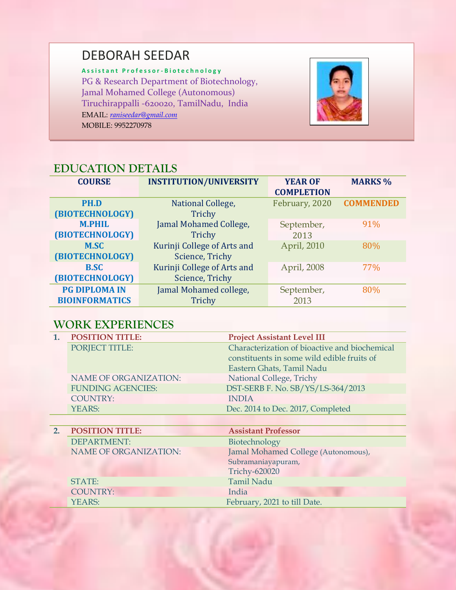# DEBORAH SEEDAR

**A s s i s t a n t P r o f e s s o r - B i o t e c h n o l o g y** PG & Research Department of Biotechnology, Jamal Mohamed College (Autonomous) Tiruchirappalli -620020, TamilNadu, India EMAIL: *[raniseedar@gmail.com](mailto:raniseedar@gmail.com)* MOBILE: 9952270978



# **EDUCATION DETAILS**

| <b>COURSE</b>                                 | <b>INSTITUTION/UNIVERSITY</b>                  | <b>YEAR OF</b><br><b>COMPLETION</b> | <b>MARKS %</b>   |
|-----------------------------------------------|------------------------------------------------|-------------------------------------|------------------|
| PH.D<br>(BIOTECHNOLOGY)                       | National College,<br>Trichy                    | February, 2020                      | <b>COMMENDED</b> |
| <b>M.PHIL</b><br>(BIOTECHNOLOGY)              | Jamal Mohamed College,<br>Trichy               | September,<br>2013                  | 91%              |
| <b>M.SC</b><br>(BIOTECHNOLOGY)                | Kurinji College of Arts and<br>Science, Trichy | April, 2010                         | 80%              |
| <b>B.SC</b><br>(BIOTECHNOLOGY)                | Kurinji College of Arts and<br>Science, Trichy | April, 2008                         | 77%              |
| <b>PG DIPLOMA IN</b><br><b>BIOINFORMATICS</b> | Jamal Mohamed college,<br>Trichy               | September,<br>2013                  | 80%              |

# **WORK EXPERIENCES**

COUNTRY: India

YEARS: February, 2021 to till Date.

|    | <b>POSITION TITLE:</b>       | <b>Project Assistant Level III</b>            |
|----|------------------------------|-----------------------------------------------|
|    | PORJECT TITLE:               | Characterization of bioactive and biochemical |
|    |                              | constituents in some wild edible fruits of    |
|    |                              | Eastern Ghats, Tamil Nadu                     |
|    | <b>NAME OF ORGANIZATION:</b> | National College, Trichy                      |
|    | <b>FUNDING AGENCIES:</b>     | DST-SERB F. No. SB/YS/LS-364/2013             |
|    | <b>COUNTRY:</b>              | <b>INDIA</b>                                  |
|    | YEARS:                       | Dec. 2014 to Dec. 2017, Completed             |
|    |                              |                                               |
| 2. | <b>POSITION TITLE:</b>       | <b>Assistant Professor</b>                    |
|    | DEPARTMENT:                  | Biotechnology                                 |
|    | <b>NAME OF ORGANIZATION:</b> | Jamal Mohamed College (Autonomous),           |
|    |                              | Subramaniayapuram,                            |
|    |                              | <b>Trichy-620020</b>                          |
|    | STATE:                       | <b>Tamil Nadu</b>                             |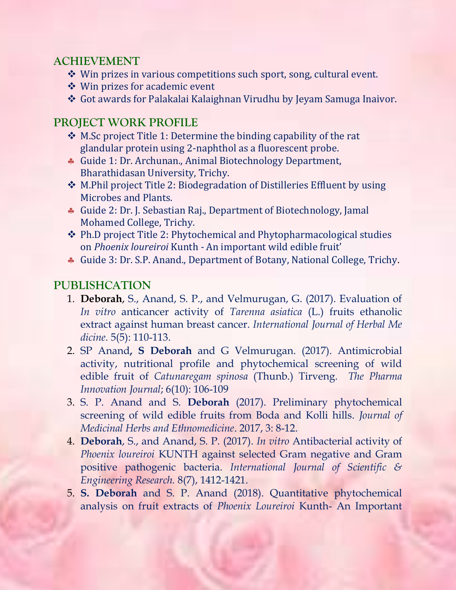## **ACHIEVEMENT**

- $\cdot$  Win prizes in various competitions such sport, song, cultural event.
- Win prizes for academic event
- Got awards for Palakalai Kalaighnan Virudhu by Jeyam Samuga Inaivor.

## **PROJECT WORK PROFILE**

- M.Sc project Title 1: Determine the binding capability of the rat glandular protein using 2-naphthol as a fluorescent probe.
- Guide 1: Dr. Archunan., Animal Biotechnology Department, Bharathidasan University, Trichy.
- M.Phil project Title 2: Biodegradation of Distilleries Effluent by using Microbes and Plants.
- Guide 2: Dr. J. Sebastian Raj., Department of Biotechnology, Jamal Mohamed College, Trichy.
- Ph.D project Title 2: Phytochemical and Phytopharmacological studies on *Phoenix loureiroi* Kunth *-* An important wild edible fruit'
- Guide 3: Dr. S.P. Anand., Department of Botany, National College, Trichy.

# **PUBLISHCATION**

- 1. **Deborah**, S., Anand, S. P., and Velmurugan, G. (2017). Evaluation of *In vitro* anticancer activity of *Tarenna asiatica* (L.) fruits ethanolic extract against human breast cancer. *International Journal of Herbal Me dicine.* 5(5): 110-113.
- 2. SP Anand**, S Deborah** and G Velmurugan. (2017). Antimicrobial activity, nutritional profile and phytochemical screening of wild edible fruit of *Catunaregam spinosa* (Thunb.) Tirveng. *The Pharma Innovation Journal*; 6(10): 106-109
- 3. S. P. Anand and S. **Deborah** (2017). Preliminary phytochemical screening of wild edible fruits from Boda and Kolli hills. *Journal of Medicinal Herbs and Ethnomedicine*. 2017, 3: 8-12.
- 4. **Deborah**, S., and Anand, S. P. (2017). *In vitro* Antibacterial activity of *Phoenix loureiroi* KUNTH against selected Gram negative and Gram positive pathogenic bacteria. *International Journal of Scientific & Engineering Research.* 8(7), 1412-1421.
- 5. **S. Deborah** and S. P. Anand (2018). Quantitative phytochemical analysis on fruit extracts of *Phoenix Loureiroi* Kunth- An Important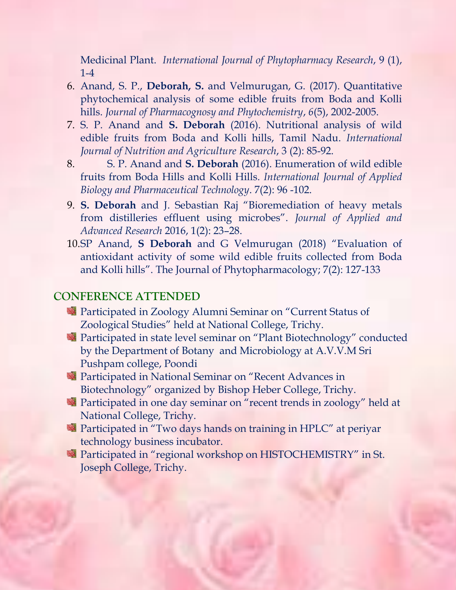Medicinal Plant. *International Journal of Phytopharmacy Research*, 9 (1), 1-4

- 6. Anand, S. P., **Deborah, S.** and Velmurugan, G. (2017). Quantitative phytochemical analysis of some edible fruits from Boda and Kolli hills. *Journal of Pharmacognosy and Phytochemistry*, *6*(5), 2002-2005.
- 7. S. P. Anand and **S. Deborah** (2016). Nutritional analysis of wild edible fruits from Boda and Kolli hills, Tamil Nadu. *International Journal of Nutrition and Agriculture Research*, 3 (2): 85-92.
- 8. S. P. Anand and **S. Deborah** (2016). Enumeration of wild edible fruits from Boda Hills and Kolli Hills. *International Journal of Applied Biology and Pharmaceutical Technology*. 7(2): 96 -102.
- 9. **S. Deborah** and J. Sebastian Raj "Bioremediation of heavy metals from distilleries effluent using microbes". *Journal of Applied and Advanced Research* 2016, 1(2): 23–28.
- 10.SP Anand, **S Deborah** and G Velmurugan (2018) "Evaluation of antioxidant activity of some wild edible fruits collected from Boda and Kolli hills". The Journal of Phytopharmacology; 7(2): 127-133

#### **CONFERENCE ATTENDED**

- **Participated in Zoology Alumni Seminar on "Current Status of** Zoological Studies" held at National College, Trichy.
- Participated in state level seminar on "Plant Biotechnology" conducted by the Department of Botany and Microbiology at A.V.V.M Sri Pushpam college, Poondi
- **Participated in National Seminar on "Recent Advances in** Biotechnology" organized by Bishop Heber College, Trichy.
- **Participated in one day seminar on "recent trends in zoology" held at** National College, Trichy.
- Participated in "Two days hands on training in HPLC" at periyar technology business incubator.
- **Participated in "regional workshop on HISTOCHEMISTRY" in St.** Joseph College, Trichy.